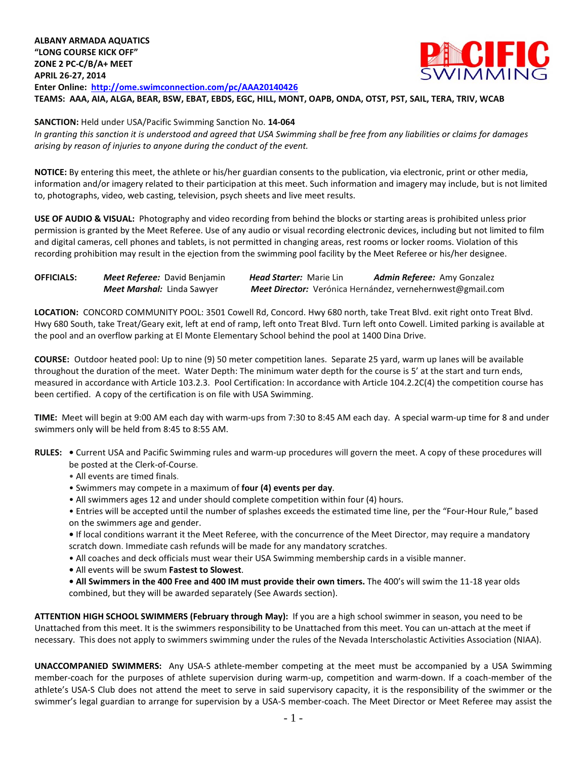**ALBANY ARMADA AQUATICS "LONG COURSE KICK OFF" ZONE 2 PC-C/B/A+ MEET APRIL 26-27, 2014 Enter Online: <http://ome.swimconnection.com/pc/AAA20140426> TEAMS: AAA, AIA, ALGA, BEAR, BSW, EBAT, EBDS, EGC, HILL, MONT, OAPB, ONDA, OTST, PST, SAIL, TERA, TRIV, WCAB**

## **SANCTION:** Held under USA/Pacific Swimming Sanction No. **14-064**

*In granting this sanction it is understood and agreed that USA Swimming shall be free from any liabilities or claims for damages arising by reason of injuries to anyone during the conduct of the event.*

**NOTICE:** By entering this meet, the athlete or his/her guardian consents to the publication, via electronic, print or other media, information and/or imagery related to their participation at this meet. Such information and imagery may include, but is not limited to, photographs, video, web casting, television, psych sheets and live meet results.

**USE OF AUDIO & VISUAL:** Photography and video recording from behind the blocks or starting areas is prohibited unless prior permission is granted by the Meet Referee. Use of any audio or visual recording electronic devices, including but not limited to film and digital cameras, cell phones and tablets, is not permitted in changing areas, rest rooms or locker rooms. Violation of this recording prohibition may result in the ejection from the swimming pool facility by the Meet Referee or his/her designee.

| <b>OFFICIALS:</b> | Meet Referee: David Benjamin | <b>Head Starter: Marie Lin</b> | <b>Admin Referee:</b> Amy Gonzalez                         |  |  |
|-------------------|------------------------------|--------------------------------|------------------------------------------------------------|--|--|
|                   | Meet Marshal: Linda Sawyer   |                                | Meet Director: Verónica Hernández, vernehernwest@gmail.com |  |  |

**LOCATION:** CONCORD COMMUNITY POOL: 3501 Cowell Rd, Concord. Hwy 680 north, take Treat Blvd. exit right onto Treat Blvd. Hwy 680 South, take Treat/Geary exit, left at end of ramp, left onto Treat Blvd. Turn left onto Cowell. Limited parking is available at the pool and an overflow parking at El Monte Elementary School behind the pool at 1400 Dina Drive.

**COURSE:** Outdoor heated pool: Up to nine (9) 50 meter competition lanes. Separate 25 yard, warm up lanes will be available throughout the duration of the meet. Water Depth: The minimum water depth for the course is 5' at the start and turn ends, measured in accordance with Article 103.2.3. Pool Certification: In accordance with Article 104.2.2C(4) the competition course has been certified. A copy of the certification is on file with USA Swimming.

**TIME:** Meet will begin at 9:00 AM each day with warm-ups from 7:30 to 8:45 AM each day. A special warm-up time for 8 and under swimmers only will be held from 8:45 to 8:55 AM.

- **RULES:** Current USA and Pacific Swimming rules and warm-up procedures will govern the meet. A copy of these procedures will be posted at the Clerk-of-Course.
	- All events are timed finals.
	- Swimmers may compete in a maximum of **four (4) events per day**.
	- All swimmers ages 12 and under should complete competition within four (4) hours.
	- Entries will be accepted until the number of splashes exceeds the estimated time line, per the "Four-Hour Rule," based on the swimmers age and gender.

**•** If local conditions warrant it the Meet Referee, with the concurrence of the Meet Director, may require a mandatory scratch down. Immediate cash refunds will be made for any mandatory scratches.

- All coaches and deck officials must wear their USA Swimming membership cards in a visible manner.
- All events will be swum **Fastest to Slowest**.
- **• All Swimmers in the 400 Free and 400 IM must provide their own timers.** The 400's will swim the 11-18 year olds combined, but they will be awarded separately (See Awards section).

**ATTENTION HIGH SCHOOL SWIMMERS (February through May):** If you are a high school swimmer in season, you need to be Unattached from this meet. It is the swimmers responsibility to be Unattached from this meet. You can un-attach at the meet if necessary. This does not apply to swimmers swimming under the rules of the Nevada Interscholastic Activities Association (NIAA).

**UNACCOMPANIED SWIMMERS:** Any USA-S athlete-member competing at the meet must be accompanied by a USA Swimming member-coach for the purposes of athlete supervision during warm-up, competition and warm-down. If a coach-member of the athlete's USA-S Club does not attend the meet to serve in said supervisory capacity, it is the responsibility of the swimmer or the swimmer's legal guardian to arrange for supervision by a USA-S member-coach. The Meet Director or Meet Referee may assist the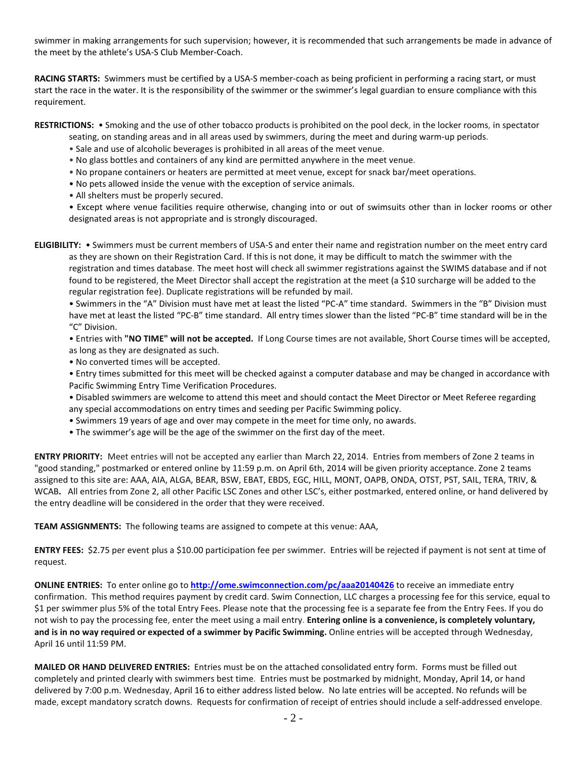swimmer in making arrangements for such supervision; however, it is recommended that such arrangements be made in advance of the meet by the athlete's USA-S Club Member-Coach.

**RACING STARTS:** Swimmers must be certified by a USA-S member-coach as being proficient in performing a racing start, or must start the race in the water. It is the responsibility of the swimmer or the swimmer's legal guardian to ensure compliance with this requirement.

**RESTRICTIONS:** • Smoking and the use of other tobacco products is prohibited on the pool deck, in the locker rooms, in spectator

- seating, on standing areas and in all areas used by swimmers, during the meet and during warm-up periods.
- Sale and use of alcoholic beverages is prohibited in all areas of the meet venue.
- No glass bottles and containers of any kind are permitted anywhere in the meet venue.
- No propane containers or heaters are permitted at meet venue, except for snack bar/meet operations.
- No pets allowed inside the venue with the exception of service animals.
- All shelters must be properly secured.

• Except where venue facilities require otherwise, changing into or out of swimsuits other than in locker rooms or other designated areas is not appropriate and is strongly discouraged.

**ELIGIBILITY:** • Swimmers must be current members of USA-S and enter their name and registration number on the meet entry card as they are shown on their Registration Card. If this is not done, it may be difficult to match the swimmer with the registration and times database. The meet host will check all swimmer registrations against the SWIMS database and if not found to be registered, the Meet Director shall accept the registration at the meet (a \$10 surcharge will be added to the regular registration fee). Duplicate registrations will be refunded by mail.

• Swimmers in the "A" Division must have met at least the listed "PC-A" time standard. Swimmers in the "B" Division must have met at least the listed "PC-B" time standard. All entry times slower than the listed "PC-B" time standard will be in the "C" Division.

• Entries with **"NO TIME" will not be accepted.** If Long Course times are not available, Short Course times will be accepted, as long as they are designated as such.

• No converted times will be accepted.

• Entry times submitted for this meet will be checked against a computer database and may be changed in accordance with Pacific Swimming Entry Time Verification Procedures.

- Disabled swimmers are welcome to attend this meet and should contact the Meet Director or Meet Referee regarding any special accommodations on entry times and seeding per Pacific Swimming policy.
- Swimmers 19 years of age and over may compete in the meet for time only, no awards.
- The swimmer's age will be the age of the swimmer on the first day of the meet.

**ENTRY PRIORITY:** Meet entries will not be accepted any earlier than March 22, 2014. Entries from members of Zone 2 teams in "good standing," postmarked or entered online by 11:59 p.m. on April 6th, 2014 will be given priority acceptance. Zone 2 teams assigned to this site are: AAA, AIA, ALGA, BEAR, BSW, EBAT, EBDS, EGC, HILL, MONT, OAPB, ONDA, OTST, PST, SAIL, TERA, TRIV, & WCAB**.** All entries from Zone 2, all other Pacific LSC Zones and other LSC's, either postmarked, entered online, or hand delivered by the entry deadline will be considered in the order that they were received.

**TEAM ASSIGNMENTS:** The following teams are assigned to compete at this venue: AAA,

**ENTRY FEES:** \$2.75 per event plus a \$10.00 participation fee per swimmer. Entries will be rejected if payment is not sent at time of request.

**ONLINE ENTRIES:** To enter online go to **<http://ome.swimconnection.com/pc/aaa20140426>** to receive an immediate entry confirmation. This method requires payment by credit card. Swim Connection, LLC charges a processing fee for this service, equal to \$1 per swimmer plus 5% of the total Entry Fees. Please note that the processing fee is a separate fee from the Entry Fees. If you do not wish to pay the processing fee, enter the meet using a mail entry. **Entering online is a convenience, is completely voluntary, and is in no way required or expected of a swimmer by Pacific Swimming.** Online entries will be accepted through Wednesday, April 16 until 11:59 PM.

**MAILED OR HAND DELIVERED ENTRIES:** Entries must be on the attached consolidated entry form. Forms must be filled out completely and printed clearly with swimmers best time. Entries must be postmarked by midnight, Monday, April 14, or hand delivered by 7:00 p.m. Wednesday, April 16 to either address listed below. No late entries will be accepted. No refunds will be made, except mandatory scratch downs. Requests for confirmation of receipt of entries should include a self-addressed envelope.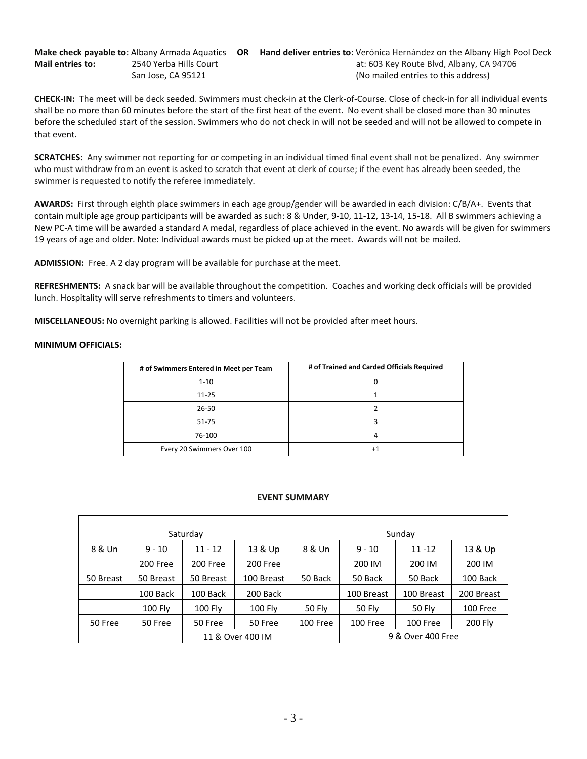**Make check payable to:** Albany Armada Aquatics **OR Hand deliver entries to**: Verónica Hernández on the Albany High Pool Deck **Mail entries to:** 2540 Yerba Hills Court **at: 603 Key Route Blvd, Albany, CA 94706** San Jose, CA 95121 (No mailed entries to this address)

**CHECK-IN:** The meet will be deck seeded. Swimmers must check-in at the Clerk-of-Course. Close of check-in for all individual events shall be no more than 60 minutes before the start of the first heat of the event. No event shall be closed more than 30 minutes before the scheduled start of the session. Swimmers who do not check in will not be seeded and will not be allowed to compete in that event.

**SCRATCHES:** Any swimmer not reporting for or competing in an individual timed final event shall not be penalized. Any swimmer who must withdraw from an event is asked to scratch that event at clerk of course; if the event has already been seeded, the swimmer is requested to notify the referee immediately.

**AWARDS:** First through eighth place swimmers in each age group/gender will be awarded in each division: C/B/A+. Events that contain multiple age group participants will be awarded as such: 8 & Under, 9-10, 11-12, 13-14, 15-18. All B swimmers achieving a New PC-A time will be awarded a standard A medal, regardless of place achieved in the event. No awards will be given for swimmers 19 years of age and older. Note: Individual awards must be picked up at the meet. Awards will not be mailed.

**ADMISSION:** Free. A 2 day program will be available for purchase at the meet.

**REFRESHMENTS:** A snack bar will be available throughout the competition. Coaches and working deck officials will be provided lunch. Hospitality will serve refreshments to timers and volunteers.

**MISCELLANEOUS:** No overnight parking is allowed. Facilities will not be provided after meet hours.

## **MINIMUM OFFICIALS:**

| # of Swimmers Entered in Meet per Team | # of Trained and Carded Officials Required |
|----------------------------------------|--------------------------------------------|
| $1 - 10$                               |                                            |
| $11 - 25$                              |                                            |
| 26-50                                  |                                            |
| 51-75                                  |                                            |
| 76-100                                 |                                            |
| Every 20 Swimmers Over 100             | $+1$                                       |

## **EVENT SUMMARY**

|           |                | Saturday       |                  | Sunday   |                   |            |            |  |  |
|-----------|----------------|----------------|------------------|----------|-------------------|------------|------------|--|--|
| 8 & Un    | $9 - 10$       | $11 - 12$      | 13 & Up          | 8 & Un   | $9 - 10$          | $11 - 12$  | 13 & Up    |  |  |
|           | 200 Free       | 200 Free       | 200 Free         |          | 200 IM            | 200 IM     | 200 IM     |  |  |
| 50 Breast | 50 Breast      | 50 Breast      | 100 Breast       | 50 Back  | 50 Back           | 50 Back    | 100 Back   |  |  |
|           | 100 Back       | 100 Back       | 200 Back         |          | 100 Breast        | 100 Breast | 200 Breast |  |  |
|           | <b>100 Fly</b> | <b>100 Fly</b> | <b>100 Fly</b>   | 50 Fly   | <b>50 Fly</b>     | 50 Fly     | 100 Free   |  |  |
| 50 Free   | 50 Free        | 50 Free        | 50 Free          | 100 Free | 100 Free          | 100 Free   | 200 Fly    |  |  |
|           |                |                | 11 & Over 400 IM |          | 9 & Over 400 Free |            |            |  |  |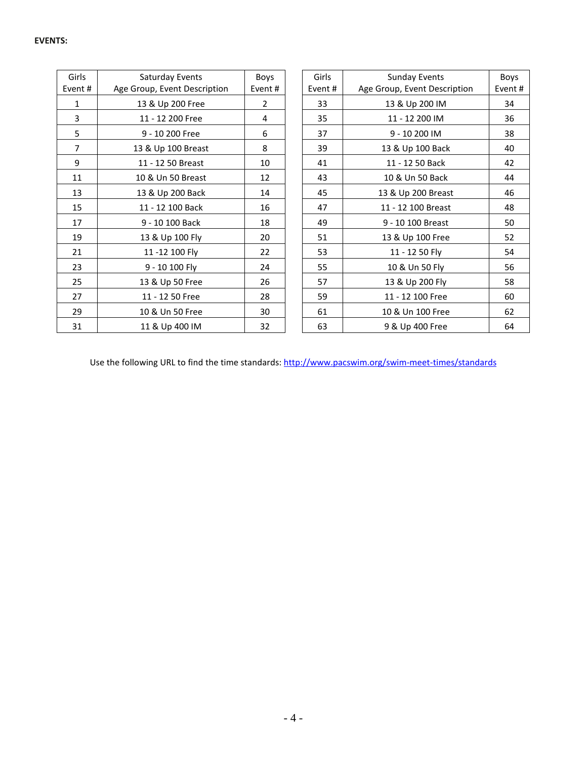| Girls<br>Event # | Saturday Events<br>Age Group, Event Description | Boys<br>Event # | Girls<br>Event # | <b>Sunday Events</b><br>Age Group, Event Description | Boys<br>Event# |
|------------------|-------------------------------------------------|-----------------|------------------|------------------------------------------------------|----------------|
| 1                | 13 & Up 200 Free                                | $\overline{2}$  | 33               | 13 & Up 200 IM                                       | 34             |
| 3                | 11 - 12 200 Free                                | 4               | 35               | 11 - 12 200 IM                                       | 36             |
| 5                | 9 - 10 200 Free                                 | 6               | 37               | 9 - 10 200 IM                                        | 38             |
| $\overline{7}$   | 13 & Up 100 Breast                              | 8               | 39               | 13 & Up 100 Back                                     | 40             |
| 9                | 11 - 12 50 Breast                               | 10              | 41               | 11 - 12 50 Back                                      | 42             |
| 11               | 10 & Un 50 Breast                               | 12              | 43               | 10 & Un 50 Back                                      | 44             |
| 13               | 13 & Up 200 Back                                | 14              | 45               | 13 & Up 200 Breast                                   | 46             |
| 15               | 11 - 12 100 Back                                | 16              | 47               | 11 - 12 100 Breast                                   | 48             |
| 17               | 9 - 10 100 Back                                 | 18              | 49               | 9 - 10 100 Breast                                    | 50             |
| 19               | 13 & Up 100 Fly                                 | 20              | 51               | 13 & Up 100 Free                                     | 52             |
| 21               | 11-12 100 Fly                                   | 22              | 53               | 11 - 12 50 Fly                                       | 54             |
| 23               | 9 - 10 100 Fly                                  | 24              | 55               | 10 & Un 50 Fly                                       | 56             |
| 25               | 13 & Up 50 Free                                 | 26              | 57               | 13 & Up 200 Fly                                      | 58             |
| 27               | 11 - 12 50 Free                                 | 28              | 59               | 11 - 12 100 Free                                     | 60             |
| 29               | 10 & Un 50 Free                                 | 30              | 61               | 10 & Un 100 Free                                     | 62             |
| 31               | 11 & Up 400 IM                                  | 32              | 63               | 9 & Up 400 Free                                      | 64             |

Use the following URL to find the time standards:<http://www.pacswim.org/swim-meet-times/standards>